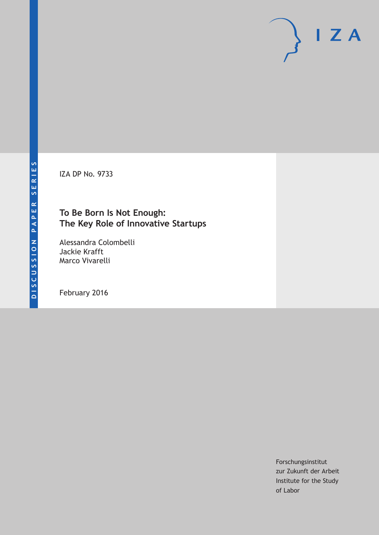IZA DP No. 9733

# **To Be Born Is Not Enough: The Key Role of Innovative Startups**

Alessandra Colombelli Jackie Krafft Marco Vivarelli

February 2016

Forschungsinstitut zur Zukunft der Arbeit Institute for the Study of Labor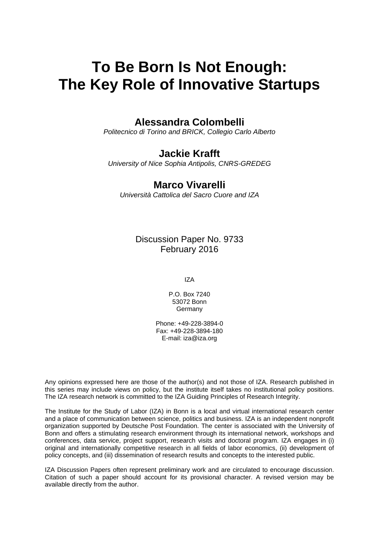# **To Be Born Is Not Enough: The Key Role of Innovative Startups**

## **Alessandra Colombelli**

*Politecnico di Torino and BRICK, Collegio Carlo Alberto* 

### **Jackie Krafft**

*University of Nice Sophia Antipolis, CNRS-GREDEG* 

## **Marco Vivarelli**

*Università Cattolica del Sacro Cuore and IZA*

Discussion Paper No. 9733 February 2016

IZA

P.O. Box 7240 53072 Bonn **Germany** 

Phone: +49-228-3894-0 Fax: +49-228-3894-180 E-mail: iza@iza.org

Any opinions expressed here are those of the author(s) and not those of IZA. Research published in this series may include views on policy, but the institute itself takes no institutional policy positions. The IZA research network is committed to the IZA Guiding Principles of Research Integrity.

The Institute for the Study of Labor (IZA) in Bonn is a local and virtual international research center and a place of communication between science, politics and business. IZA is an independent nonprofit organization supported by Deutsche Post Foundation. The center is associated with the University of Bonn and offers a stimulating research environment through its international network, workshops and conferences, data service, project support, research visits and doctoral program. IZA engages in (i) original and internationally competitive research in all fields of labor economics, (ii) development of policy concepts, and (iii) dissemination of research results and concepts to the interested public.

IZA Discussion Papers often represent preliminary work and are circulated to encourage discussion. Citation of such a paper should account for its provisional character. A revised version may be available directly from the author.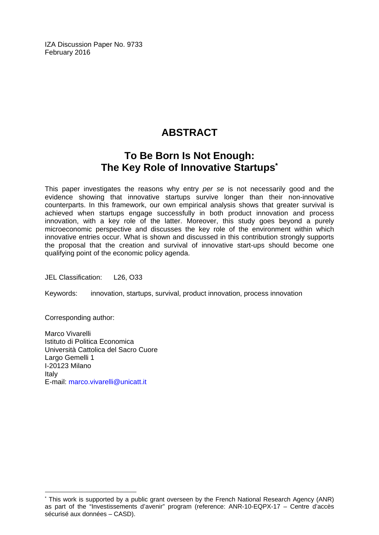IZA Discussion Paper No. 9733 February 2016

# **ABSTRACT**

# **To Be Born Is Not Enough: The Key Role of Innovative Startups\***

This paper investigates the reasons why entry *per se* is not necessarily good and the evidence showing that innovative startups survive longer than their non-innovative counterparts. In this framework, our own empirical analysis shows that greater survival is achieved when startups engage successfully in both product innovation and process innovation, with a key role of the latter. Moreover, this study goes beyond a purely microeconomic perspective and discusses the key role of the environment within which innovative entries occur. What is shown and discussed in this contribution strongly supports the proposal that the creation and survival of innovative start-ups should become one qualifying point of the economic policy agenda.

JEL Classification: L26, O33

Keywords: innovation, startups, survival, product innovation, process innovation

Corresponding author:

 $\overline{a}$ 

Marco Vivarelli Istituto di Politica Economica Università Cattolica del Sacro Cuore Largo Gemelli 1 I‐20123 Milano Italy E-mail: marco.vivarelli@unicatt.it

<sup>\*</sup> This work is supported by a public grant overseen by the French National Research Agency (ANR) as part of the "Investissements d'avenir" program (reference: ANR-10-EQPX-17 – Centre d'accès sécurisé aux données – CASD).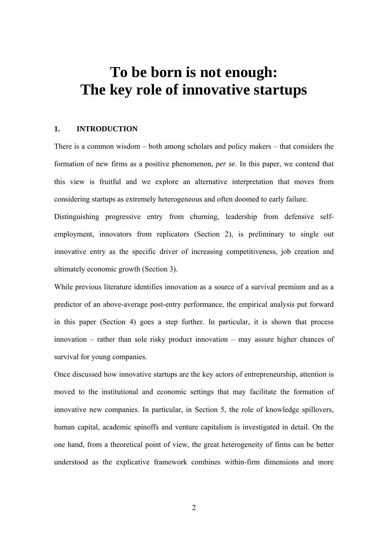# **To be born is not enough: The key role of innovative startups**

#### **1. INTRODUCTION**

There is a common wisdom – both among scholars and policy makers – that considers the formation of new firms as a positive phenomenon, *per se*. In this paper, we contend that this view is fruitful and we explore an alternative interpretation that moves from considering startups as extremely heterogeneous and often doomed to early failure.

Distinguishing progressive entry from churning, leadership from defensive selfemployment, innovators from replicators (Section 2), is preliminary to single out innovative entry as the specific driver of increasing competitiveness, job creation and ultimately economic growth (Section 3).

While previous literature identifies innovation as a source of a survival premium and as a predictor of an above-average post-entry performance, the empirical analysis put forward in this paper (Section 4) goes a step further. In particular, it is shown that process innovation – rather than sole risky product innovation – may assure higher chances of survival for young companies.

Once discussed how innovative startups are the key actors of entrepreneurship, attention is moved to the institutional and economic settings that may facilitate the formation of innovative new companies. In particular, in Section 5, the role of knowledge spillovers, human capital, academic spinoffs and venture capitalism is investigated in detail. On the one hand, from a theoretical point of view, the great heterogeneity of firms can be better understood as the explicative framework combines within-firm dimensions and more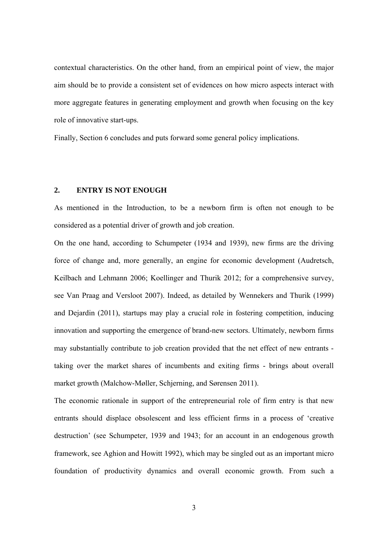contextual characteristics. On the other hand, from an empirical point of view, the major aim should be to provide a consistent set of evidences on how micro aspects interact with more aggregate features in generating employment and growth when focusing on the key role of innovative start-ups.

Finally, Section 6 concludes and puts forward some general policy implications.

#### **2. ENTRY IS NOT ENOUGH**

As mentioned in the Introduction, to be a newborn firm is often not enough to be considered as a potential driver of growth and job creation.

On the one hand, according to Schumpeter (1934 and 1939), new firms are the driving force of change and, more generally, an engine for economic development (Audretsch, Keilbach and Lehmann 2006; Koellinger and Thurik 2012; for a comprehensive survey, see Van Praag and Versloot 2007). Indeed, as detailed by Wennekers and Thurik (1999) and Dejardin (2011), startups may play a crucial role in fostering competition, inducing innovation and supporting the emergence of brand-new sectors. Ultimately, newborn firms may substantially contribute to job creation provided that the net effect of new entrants taking over the market shares of incumbents and exiting firms - brings about overall market growth (Malchow-Møller, Schjerning, and Sørensen 2011).

The economic rationale in support of the entrepreneurial role of firm entry is that new entrants should displace obsolescent and less efficient firms in a process of 'creative destruction' (see Schumpeter, 1939 and 1943; for an account in an endogenous growth framework, see Aghion and Howitt 1992), which may be singled out as an important micro foundation of productivity dynamics and overall economic growth. From such a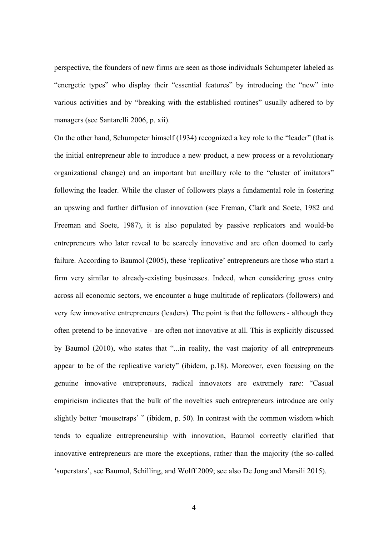perspective, the founders of new firms are seen as those individuals Schumpeter labeled as "energetic types" who display their "essential features" by introducing the "new" into various activities and by "breaking with the established routines" usually adhered to by managers (see Santarelli 2006, p. xii).

On the other hand, Schumpeter himself (1934) recognized a key role to the "leader" (that is the initial entrepreneur able to introduce a new product, a new process or a revolutionary organizational change) and an important but ancillary role to the "cluster of imitators" following the leader. While the cluster of followers plays a fundamental role in fostering an upswing and further diffusion of innovation (see Freman, Clark and Soete, 1982 and Freeman and Soete, 1987), it is also populated by passive replicators and would-be entrepreneurs who later reveal to be scarcely innovative and are often doomed to early failure. According to Baumol (2005), these 'replicative' entrepreneurs are those who start a firm very similar to already-existing businesses. Indeed, when considering gross entry across all economic sectors, we encounter a huge multitude of replicators (followers) and very few innovative entrepreneurs (leaders). The point is that the followers - although they often pretend to be innovative - are often not innovative at all. This is explicitly discussed by Baumol (2010), who states that "...in reality, the vast majority of all entrepreneurs appear to be of the replicative variety" (ibidem, p.18). Moreover, even focusing on the genuine innovative entrepreneurs, radical innovators are extremely rare: "Casual empiricism indicates that the bulk of the novelties such entrepreneurs introduce are only slightly better 'mousetraps' " (ibidem, p. 50). In contrast with the common wisdom which tends to equalize entrepreneurship with innovation, Baumol correctly clarified that innovative entrepreneurs are more the exceptions, rather than the majority (the so-called 'superstars', see Baumol, Schilling, and Wolff 2009; see also De Jong and Marsili 2015).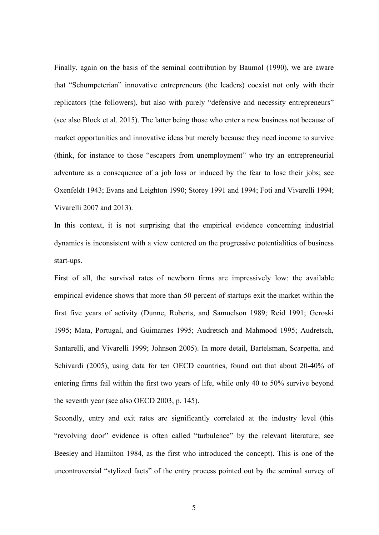Finally, again on the basis of the seminal contribution by Baumol (1990), we are aware that "Schumpeterian" innovative entrepreneurs (the leaders) coexist not only with their replicators (the followers), but also with purely "defensive and necessity entrepreneurs" (see also Block et al. 2015). The latter being those who enter a new business not because of market opportunities and innovative ideas but merely because they need income to survive (think, for instance to those "escapers from unemployment" who try an entrepreneurial adventure as a consequence of a job loss or induced by the fear to lose their jobs; see Oxenfeldt 1943; Evans and Leighton 1990; Storey 1991 and 1994; Foti and Vivarelli 1994; Vivarelli 2007 and 2013).

In this context, it is not surprising that the empirical evidence concerning industrial dynamics is inconsistent with a view centered on the progressive potentialities of business start-ups.

First of all, the survival rates of newborn firms are impressively low: the available empirical evidence shows that more than 50 percent of startups exit the market within the first five years of activity (Dunne, Roberts, and Samuelson 1989; Reid 1991; Geroski 1995; Mata, Portugal, and Guimaraes 1995; Audretsch and Mahmood 1995; Audretsch, Santarelli, and Vivarelli 1999; Johnson 2005). In more detail, Bartelsman, Scarpetta, and Schivardi (2005), using data for ten OECD countries, found out that about 20-40% of entering firms fail within the first two years of life, while only 40 to 50% survive beyond the seventh year (see also OECD 2003, p. 145).

Secondly, entry and exit rates are significantly correlated at the industry level (this "revolving door" evidence is often called "turbulence" by the relevant literature; see Beesley and Hamilton 1984, as the first who introduced the concept). This is one of the uncontroversial "stylized facts" of the entry process pointed out by the seminal survey of

5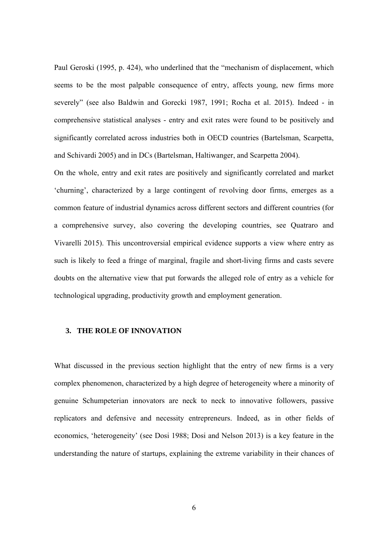Paul Geroski (1995, p. 424), who underlined that the "mechanism of displacement, which seems to be the most palpable consequence of entry, affects young, new firms more severely" (see also Baldwin and Gorecki 1987, 1991; Rocha et al. 2015). Indeed - in comprehensive statistical analyses - entry and exit rates were found to be positively and significantly correlated across industries both in OECD countries (Bartelsman, Scarpetta, and Schivardi 2005) and in DCs (Bartelsman, Haltiwanger, and Scarpetta 2004).

On the whole, entry and exit rates are positively and significantly correlated and market 'churning', characterized by a large contingent of revolving door firms, emerges as a common feature of industrial dynamics across different sectors and different countries (for a comprehensive survey, also covering the developing countries, see Quatraro and Vivarelli 2015). This uncontroversial empirical evidence supports a view where entry as such is likely to feed a fringe of marginal, fragile and short-living firms and casts severe doubts on the alternative view that put forwards the alleged role of entry as a vehicle for technological upgrading, productivity growth and employment generation.

#### **3. THE ROLE OF INNOVATION**

What discussed in the previous section highlight that the entry of new firms is a very complex phenomenon, characterized by a high degree of heterogeneity where a minority of genuine Schumpeterian innovators are neck to neck to innovative followers, passive replicators and defensive and necessity entrepreneurs. Indeed, as in other fields of economics, 'heterogeneity' (see Dosi 1988; Dosi and Nelson 2013) is a key feature in the understanding the nature of startups, explaining the extreme variability in their chances of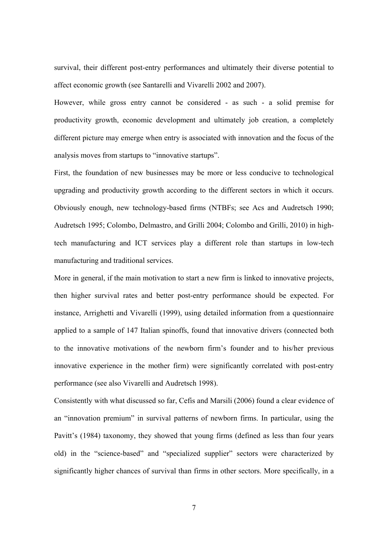survival, their different post-entry performances and ultimately their diverse potential to affect economic growth (see Santarelli and Vivarelli 2002 and 2007).

However, while gross entry cannot be considered - as such - a solid premise for productivity growth, economic development and ultimately job creation, a completely different picture may emerge when entry is associated with innovation and the focus of the analysis moves from startups to "innovative startups".

First, the foundation of new businesses may be more or less conducive to technological upgrading and productivity growth according to the different sectors in which it occurs. Obviously enough, new technology-based firms (NTBFs; see Acs and Audretsch 1990; Audretsch 1995; Colombo, Delmastro, and Grilli 2004; Colombo and Grilli, 2010) in hightech manufacturing and ICT services play a different role than startups in low-tech manufacturing and traditional services.

More in general, if the main motivation to start a new firm is linked to innovative projects, then higher survival rates and better post-entry performance should be expected. For instance, Arrighetti and Vivarelli (1999), using detailed information from a questionnaire applied to a sample of 147 Italian spinoffs, found that innovative drivers (connected both to the innovative motivations of the newborn firm's founder and to his/her previous innovative experience in the mother firm) were significantly correlated with post-entry performance (see also Vivarelli and Audretsch 1998).

Consistently with what discussed so far, Cefis and Marsili (2006) found a clear evidence of an "innovation premium" in survival patterns of newborn firms. In particular, using the Pavitt's (1984) taxonomy, they showed that young firms (defined as less than four years old) in the "science-based" and "specialized supplier" sectors were characterized by significantly higher chances of survival than firms in other sectors. More specifically, in a

7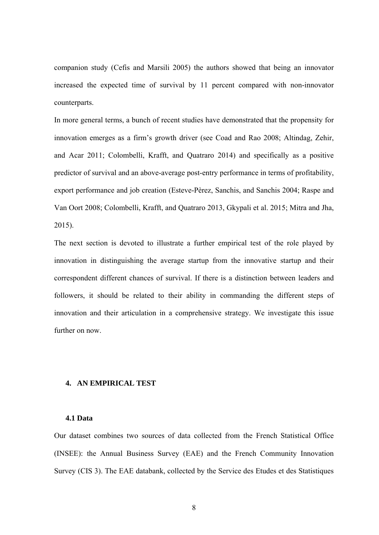companion study (Cefis and Marsili 2005) the authors showed that being an innovator increased the expected time of survival by 11 percent compared with non-innovator counterparts.

In more general terms, a bunch of recent studies have demonstrated that the propensity for innovation emerges as a firm's growth driver (see Coad and Rao 2008; Altindag, Zehir, and Acar 2011; Colombelli, Krafft, and Quatraro 2014) and specifically as a positive predictor of survival and an above-average post-entry performance in terms of profitability, export performance and job creation (Esteve-Pèrez, Sanchis, and Sanchis 2004; Raspe and Van Oort 2008; Colombelli, Krafft, and Quatraro 2013, Gkypali et al. 2015; Mitra and Jha, 2015).

The next section is devoted to illustrate a further empirical test of the role played by innovation in distinguishing the average startup from the innovative startup and their correspondent different chances of survival. If there is a distinction between leaders and followers, it should be related to their ability in commanding the different steps of innovation and their articulation in a comprehensive strategy. We investigate this issue further on now.

#### **4. AN EMPIRICAL TEST**

#### **4.1 Data**

Our dataset combines two sources of data collected from the French Statistical Office (INSEE): the Annual Business Survey (EAE) and the French Community Innovation Survey (CIS 3). The EAE databank, collected by the Service des Etudes et des Statistiques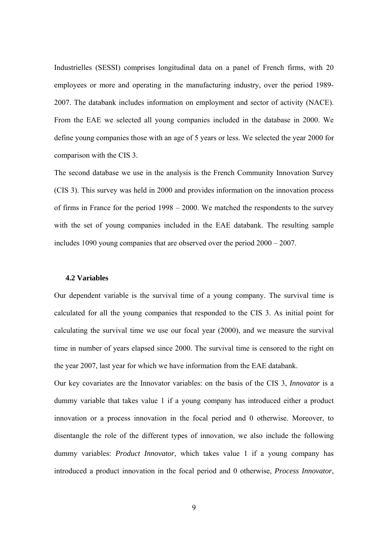Industrielles (SESSI) comprises longitudinal data on a panel of French firms, with 20 employees or more and operating in the manufacturing industry, over the period 1989- 2007. The databank includes information on employment and sector of activity (NACE). From the EAE we selected all young companies included in the database in 2000. We define young companies those with an age of 5 years or less. We selected the year 2000 for comparison with the CIS 3.

The second database we use in the analysis is the French Community Innovation Survey (CIS 3). This survey was held in 2000 and provides information on the innovation process of firms in France for the period 1998 – 2000. We matched the respondents to the survey with the set of young companies included in the EAE databank. The resulting sample includes 1090 young companies that are observed over the period 2000 – 2007.

#### **4.2 Variables**

Our dependent variable is the survival time of a young company. The survival time is calculated for all the young companies that responded to the CIS 3. As initial point for calculating the survival time we use our focal year (2000), and we measure the survival time in number of years elapsed since 2000. The survival time is censored to the right on the year 2007, last year for which we have information from the EAE databank.

Our key covariates are the Innovator variables: on the basis of the CIS 3, *Innovator* is a dummy variable that takes value 1 if a young company has introduced either a product innovation or a process innovation in the focal period and 0 otherwise. Moreover, to disentangle the role of the different types of innovation, we also include the following dummy variables: *Product Innovator*, which takes value 1 if a young company has introduced a product innovation in the focal period and 0 otherwise, *Process Innovator*,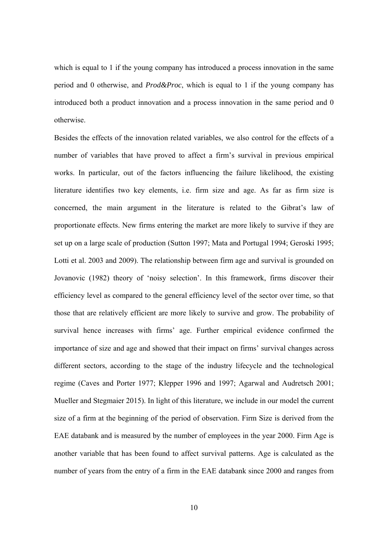which is equal to 1 if the young company has introduced a process innovation in the same period and 0 otherwise, and *Prod&Proc*, which is equal to 1 if the young company has introduced both a product innovation and a process innovation in the same period and 0 otherwise.

Besides the effects of the innovation related variables, we also control for the effects of a number of variables that have proved to affect a firm's survival in previous empirical works. In particular, out of the factors influencing the failure likelihood, the existing literature identifies two key elements, i.e. firm size and age. As far as firm size is concerned, the main argument in the literature is related to the Gibrat's law of proportionate effects. New firms entering the market are more likely to survive if they are set up on a large scale of production (Sutton 1997; Mata and Portugal 1994; Geroski 1995; Lotti et al. 2003 and 2009). The relationship between firm age and survival is grounded on Jovanovic (1982) theory of 'noisy selection'. In this framework, firms discover their efficiency level as compared to the general efficiency level of the sector over time, so that those that are relatively efficient are more likely to survive and grow. The probability of survival hence increases with firms' age. Further empirical evidence confirmed the importance of size and age and showed that their impact on firms' survival changes across different sectors, according to the stage of the industry lifecycle and the technological regime (Caves and Porter 1977; Klepper 1996 and 1997; Agarwal and Audretsch 2001; Mueller and Stegmaier 2015). In light of this literature, we include in our model the current size of a firm at the beginning of the period of observation. Firm Size is derived from the EAE databank and is measured by the number of employees in the year 2000. Firm Age is another variable that has been found to affect survival patterns. Age is calculated as the number of years from the entry of a firm in the EAE databank since 2000 and ranges from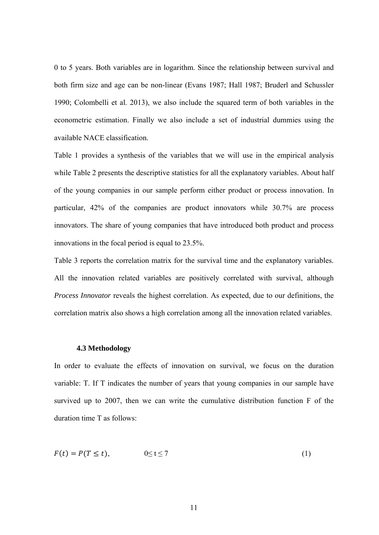0 to 5 years. Both variables are in logarithm. Since the relationship between survival and both firm size and age can be non-linear (Evans 1987; Hall 1987; Bruderl and Schussler 1990; Colombelli et al. 2013), we also include the squared term of both variables in the econometric estimation. Finally we also include a set of industrial dummies using the available NACE classification.

Table 1 provides a synthesis of the variables that we will use in the empirical analysis while Table 2 presents the descriptive statistics for all the explanatory variables. About half of the young companies in our sample perform either product or process innovation. In particular, 42% of the companies are product innovators while 30.7% are process innovators. The share of young companies that have introduced both product and process innovations in the focal period is equal to 23.5%.

Table 3 reports the correlation matrix for the survival time and the explanatory variables. All the innovation related variables are positively correlated with survival, although *Process Innovator* reveals the highest correlation. As expected, due to our definitions, the correlation matrix also shows a high correlation among all the innovation related variables.

#### **4.3 Methodology**

In order to evaluate the effects of innovation on survival, we focus on the duration variable: T. If T indicates the number of years that young companies in our sample have survived up to 2007, then we can write the cumulative distribution function F of the duration time T as follows:

$$
F(t) = P(T \le t), \qquad 0 \le t \le 7 \tag{1}
$$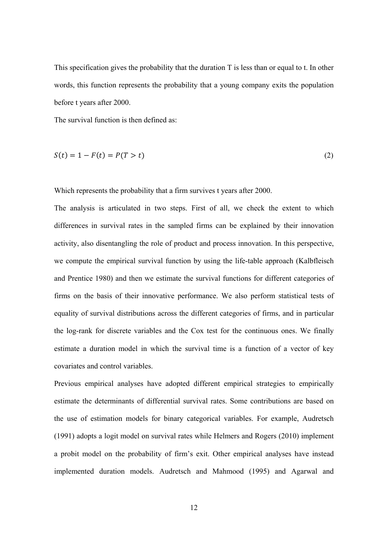This specification gives the probability that the duration T is less than or equal to t. In other words, this function represents the probability that a young company exits the population before t years after 2000.

The survival function is then defined as:

$$
S(t) = 1 - F(t) = P(T > t)
$$
\n(2)

Which represents the probability that a firm survives t years after 2000.

The analysis is articulated in two steps. First of all, we check the extent to which differences in survival rates in the sampled firms can be explained by their innovation activity, also disentangling the role of product and process innovation. In this perspective, we compute the empirical survival function by using the life-table approach (Kalbfleisch and Prentice 1980) and then we estimate the survival functions for different categories of firms on the basis of their innovative performance. We also perform statistical tests of equality of survival distributions across the different categories of firms, and in particular the log-rank for discrete variables and the Cox test for the continuous ones. We finally estimate a duration model in which the survival time is a function of a vector of key covariates and control variables.

Previous empirical analyses have adopted different empirical strategies to empirically estimate the determinants of differential survival rates. Some contributions are based on the use of estimation models for binary categorical variables. For example, Audretsch (1991) adopts a logit model on survival rates while Helmers and Rogers (2010) implement a probit model on the probability of firm's exit. Other empirical analyses have instead implemented duration models. Audretsch and Mahmood (1995) and Agarwal and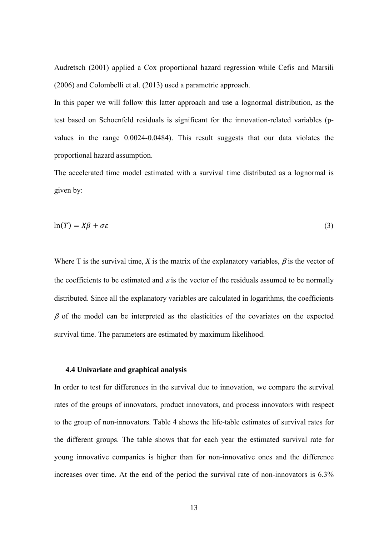Audretsch (2001) applied a Cox proportional hazard regression while Cefis and Marsili (2006) and Colombelli et al. (2013) used a parametric approach.

In this paper we will follow this latter approach and use a lognormal distribution, as the test based on Schoenfeld residuals is significant for the innovation-related variables (pvalues in the range 0.0024-0.0484). This result suggests that our data violates the proportional hazard assumption.

The accelerated time model estimated with a survival time distributed as a lognormal is given by:

$$
\ln(T) = X\beta + \sigma \varepsilon \tag{3}
$$

Where T is the survival time, *X* is the matrix of the explanatory variables,  $\beta$  is the vector of the coefficients to be estimated and  $\varepsilon$  is the vector of the residuals assumed to be normally distributed. Since all the explanatory variables are calculated in logarithms, the coefficients  $\beta$  of the model can be interpreted as the elasticities of the covariates on the expected survival time. The parameters are estimated by maximum likelihood.

#### **4.4 Univariate and graphical analysis**

In order to test for differences in the survival due to innovation, we compare the survival rates of the groups of innovators, product innovators, and process innovators with respect to the group of non-innovators. Table 4 shows the life-table estimates of survival rates for the different groups. The table shows that for each year the estimated survival rate for young innovative companies is higher than for non-innovative ones and the difference increases over time. At the end of the period the survival rate of non-innovators is 6.3%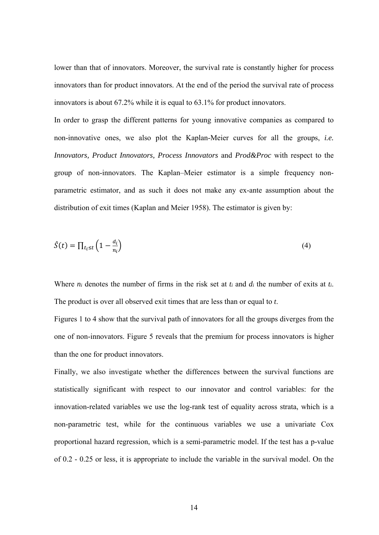lower than that of innovators. Moreover, the survival rate is constantly higher for process innovators than for product innovators. At the end of the period the survival rate of process innovators is about 67.2% while it is equal to 63.1% for product innovators.

In order to grasp the different patterns for young innovative companies as compared to non-innovative ones, we also plot the Kaplan-Meier curves for all the groups, *i.e. Innovators, Product Innovators, Process Innovators* and *Prod&Proc* with respect to the group of non-innovators. The Kaplan–Meier estimator is a simple frequency nonparametric estimator, and as such it does not make any ex-ante assumption about the distribution of exit times (Kaplan and Meier 1958). The estimator is given by:

$$
\hat{S}(t) = \prod_{t_i \le t} \left( 1 - \frac{d_i}{n_i} \right) \tag{4}
$$

Where *ni* denotes the number of firms in the risk set at *ti* and *di* the number of exits at *ti*. The product is over all observed exit times that are less than or equal to *t*.

Figures 1 to 4 show that the survival path of innovators for all the groups diverges from the one of non-innovators. Figure 5 reveals that the premium for process innovators is higher than the one for product innovators.

Finally, we also investigate whether the differences between the survival functions are statistically significant with respect to our innovator and control variables: for the innovation-related variables we use the log-rank test of equality across strata, which is a non-parametric test, while for the continuous variables we use a univariate Cox proportional hazard regression, which is a semi-parametric model. If the test has a p-value of 0.2 - 0.25 or less, it is appropriate to include the variable in the survival model. On the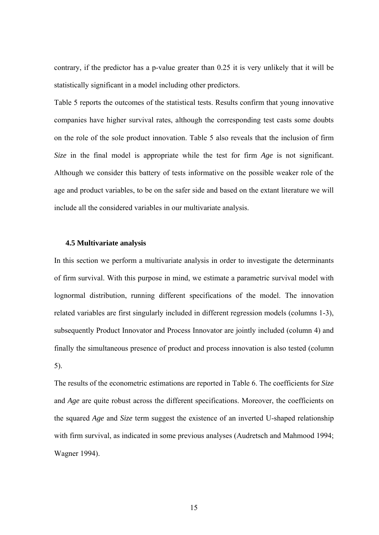contrary, if the predictor has a p-value greater than 0.25 it is very unlikely that it will be statistically significant in a model including other predictors.

Table 5 reports the outcomes of the statistical tests. Results confirm that young innovative companies have higher survival rates, although the corresponding test casts some doubts on the role of the sole product innovation. Table 5 also reveals that the inclusion of firm *Size* in the final model is appropriate while the test for firm *Age* is not significant. Although we consider this battery of tests informative on the possible weaker role of the age and product variables, to be on the safer side and based on the extant literature we will include all the considered variables in our multivariate analysis.

#### **4.5 Multivariate analysis**

In this section we perform a multivariate analysis in order to investigate the determinants of firm survival. With this purpose in mind, we estimate a parametric survival model with lognormal distribution, running different specifications of the model. The innovation related variables are first singularly included in different regression models (columns 1-3), subsequently Product Innovator and Process Innovator are jointly included (column 4) and finally the simultaneous presence of product and process innovation is also tested (column 5).

The results of the econometric estimations are reported in Table 6. The coefficients for *Size* and *Age* are quite robust across the different specifications. Moreover, the coefficients on the squared *Age* and *Size* term suggest the existence of an inverted U-shaped relationship with firm survival, as indicated in some previous analyses (Audretsch and Mahmood 1994; Wagner 1994).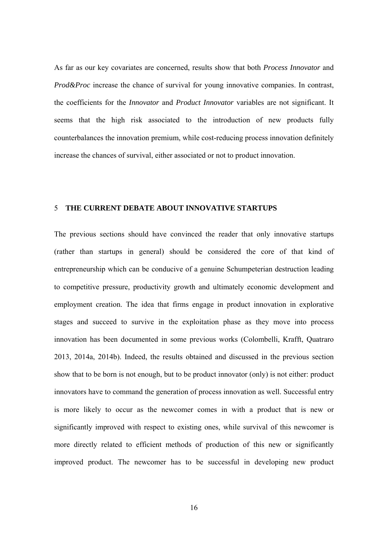As far as our key covariates are concerned, results show that both *Process Innovator* and *Prod&Proc* increase the chance of survival for young innovative companies. In contrast, the coefficients for the *Innovator* and *Product Innovator* variables are not significant. It seems that the high risk associated to the introduction of new products fully counterbalances the innovation premium, while cost-reducing process innovation definitely increase the chances of survival, either associated or not to product innovation.

#### 5 **THE CURRENT DEBATE ABOUT INNOVATIVE STARTUPS**

The previous sections should have convinced the reader that only innovative startups (rather than startups in general) should be considered the core of that kind of entrepreneurship which can be conducive of a genuine Schumpeterian destruction leading to competitive pressure, productivity growth and ultimately economic development and employment creation. The idea that firms engage in product innovation in explorative stages and succeed to survive in the exploitation phase as they move into process innovation has been documented in some previous works (Colombelli, Krafft, Quatraro 2013, 2014a, 2014b). Indeed, the results obtained and discussed in the previous section show that to be born is not enough, but to be product innovator (only) is not either: product innovators have to command the generation of process innovation as well. Successful entry is more likely to occur as the newcomer comes in with a product that is new or significantly improved with respect to existing ones, while survival of this newcomer is more directly related to efficient methods of production of this new or significantly improved product. The newcomer has to be successful in developing new product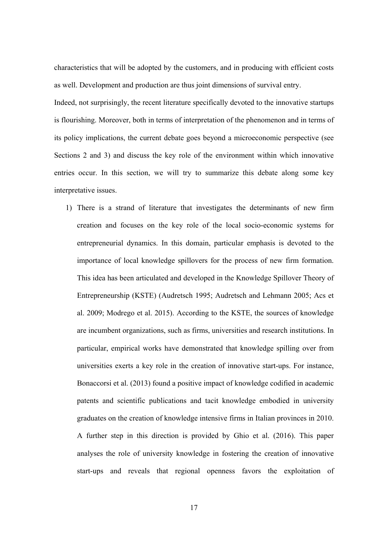characteristics that will be adopted by the customers, and in producing with efficient costs as well. Development and production are thus joint dimensions of survival entry.

Indeed, not surprisingly, the recent literature specifically devoted to the innovative startups is flourishing. Moreover, both in terms of interpretation of the phenomenon and in terms of its policy implications, the current debate goes beyond a microeconomic perspective (see Sections 2 and 3) and discuss the key role of the environment within which innovative entries occur. In this section, we will try to summarize this debate along some key interpretative issues.

1) There is a strand of literature that investigates the determinants of new firm creation and focuses on the key role of the local socio-economic systems for entrepreneurial dynamics. In this domain, particular emphasis is devoted to the importance of local knowledge spillovers for the process of new firm formation. This idea has been articulated and developed in the Knowledge Spillover Theory of Entrepreneurship (KSTE) (Audretsch 1995; Audretsch and Lehmann 2005; Acs et al. 2009; Modrego et al. 2015). According to the KSTE, the sources of knowledge are incumbent organizations, such as firms, universities and research institutions. In particular, empirical works have demonstrated that knowledge spilling over from universities exerts a key role in the creation of innovative start-ups. For instance, Bonaccorsi et al. (2013) found a positive impact of knowledge codified in academic patents and scientific publications and tacit knowledge embodied in university graduates on the creation of knowledge intensive firms in Italian provinces in 2010. A further step in this direction is provided by Ghio et al. (2016). This paper analyses the role of university knowledge in fostering the creation of innovative start-ups and reveals that regional openness favors the exploitation of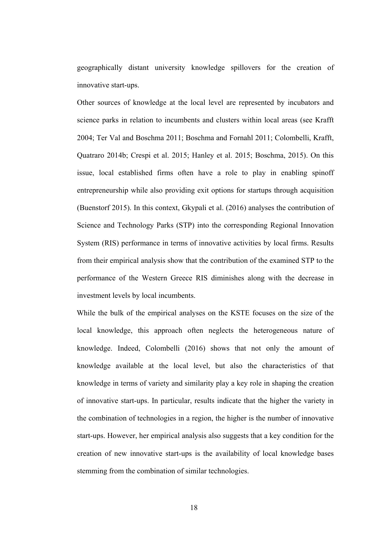geographically distant university knowledge spillovers for the creation of innovative start-ups.

Other sources of knowledge at the local level are represented by incubators and science parks in relation to incumbents and clusters within local areas (see Krafft 2004; Ter Val and Boschma 2011; Boschma and Fornahl 2011; Colombelli, Krafft, Quatraro 2014b; Crespi et al. 2015; Hanley et al. 2015; Boschma, 2015). On this issue, local established firms often have a role to play in enabling spinoff entrepreneurship while also providing exit options for startups through acquisition (Buenstorf 2015). In this context, Gkypali et al. (2016) analyses the contribution of Science and Technology Parks (STP) into the corresponding Regional Innovation System (RIS) performance in terms of innovative activities by local firms. Results from their empirical analysis show that the contribution of the examined STP to the performance of the Western Greece RIS diminishes along with the decrease in investment levels by local incumbents.

While the bulk of the empirical analyses on the KSTE focuses on the size of the local knowledge, this approach often neglects the heterogeneous nature of knowledge. Indeed, Colombelli (2016) shows that not only the amount of knowledge available at the local level, but also the characteristics of that knowledge in terms of variety and similarity play a key role in shaping the creation of innovative start-ups. In particular, results indicate that the higher the variety in the combination of technologies in a region, the higher is the number of innovative start-ups. However, her empirical analysis also suggests that a key condition for the creation of new innovative start-ups is the availability of local knowledge bases stemming from the combination of similar technologies.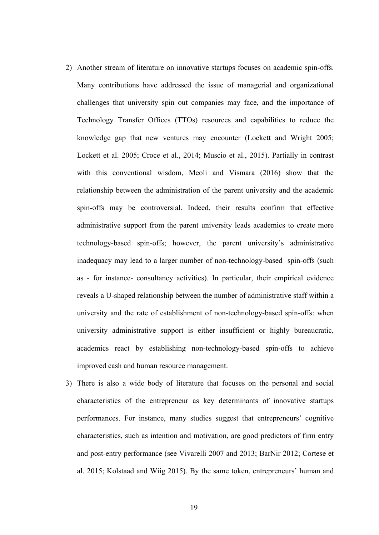- 2) Another stream of literature on innovative startups focuses on academic spin-offs. Many contributions have addressed the issue of managerial and organizational challenges that university spin out companies may face, and the importance of Technology Transfer Offices (TTOs) resources and capabilities to reduce the knowledge gap that new ventures may encounter (Lockett and Wright 2005; Lockett et al. 2005; Croce et al., 2014; Muscio et al., 2015). Partially in contrast with this conventional wisdom, Meoli and Vismara (2016) show that the relationship between the administration of the parent university and the academic spin-offs may be controversial. Indeed, their results confirm that effective administrative support from the parent university leads academics to create more technology-based spin-offs; however, the parent university's administrative inadequacy may lead to a larger number of non-technology-based spin-offs (such as - for instance- consultancy activities). In particular, their empirical evidence reveals a U-shaped relationship between the number of administrative staff within a university and the rate of establishment of non-technology-based spin-offs: when university administrative support is either insufficient or highly bureaucratic, academics react by establishing non-technology-based spin-offs to achieve improved cash and human resource management.
- 3) There is also a wide body of literature that focuses on the personal and social characteristics of the entrepreneur as key determinants of innovative startups performances. For instance, many studies suggest that entrepreneurs' cognitive characteristics, such as intention and motivation, are good predictors of firm entry and post-entry performance (see Vivarelli 2007 and 2013; BarNir 2012; Cortese et al. 2015; Kolstaad and Wiig 2015). By the same token, entrepreneurs' human and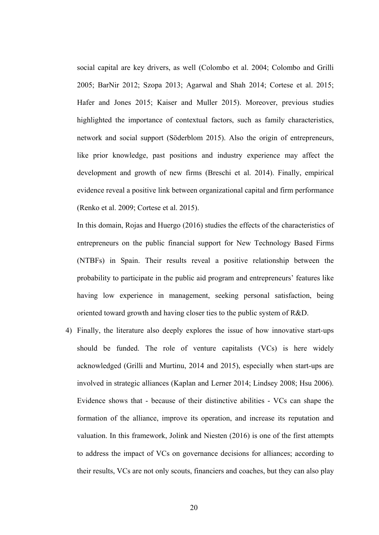social capital are key drivers, as well (Colombo et al. 2004; Colombo and Grilli 2005; BarNir 2012; Szopa 2013; Agarwal and Shah 2014; Cortese et al. 2015; Hafer and Jones 2015; Kaiser and Muller 2015). Moreover, previous studies highlighted the importance of contextual factors, such as family characteristics, network and social support (Söderblom 2015). Also the origin of entrepreneurs, like prior knowledge, past positions and industry experience may affect the development and growth of new firms (Breschi et al. 2014). Finally, empirical evidence reveal a positive link between organizational capital and firm performance (Renko et al. 2009; Cortese et al. 2015).

In this domain, Rojas and Huergo (2016) studies the effects of the characteristics of entrepreneurs on the public financial support for New Technology Based Firms (NTBFs) in Spain. Their results reveal a positive relationship between the probability to participate in the public aid program and entrepreneurs' features like having low experience in management, seeking personal satisfaction, being oriented toward growth and having closer ties to the public system of R&D.

4) Finally, the literature also deeply explores the issue of how innovative start-ups should be funded. The role of venture capitalists (VCs) is here widely acknowledged (Grilli and Murtinu, 2014 and 2015), especially when start-ups are involved in strategic alliances (Kaplan and Lerner 2014; Lindsey 2008; Hsu 2006). Evidence shows that - because of their distinctive abilities - VCs can shape the formation of the alliance, improve its operation, and increase its reputation and valuation. In this framework, Jolink and Niesten (2016) is one of the first attempts to address the impact of VCs on governance decisions for alliances; according to their results, VCs are not only scouts, financiers and coaches, but they can also play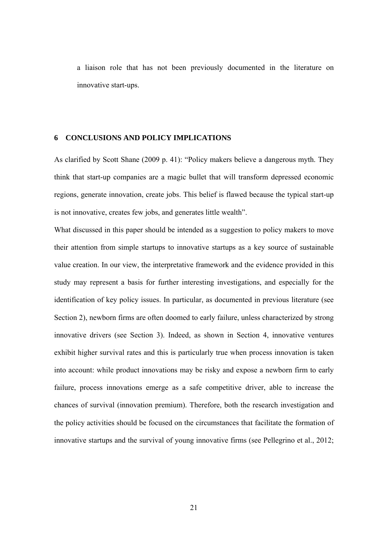a liaison role that has not been previously documented in the literature on innovative start-ups.

#### **6 CONCLUSIONS AND POLICY IMPLICATIONS**

As clarified by Scott Shane (2009 p. 41): "Policy makers believe a dangerous myth. They think that start-up companies are a magic bullet that will transform depressed economic regions, generate innovation, create jobs. This belief is flawed because the typical start-up is not innovative, creates few jobs, and generates little wealth".

What discussed in this paper should be intended as a suggestion to policy makers to move their attention from simple startups to innovative startups as a key source of sustainable value creation. In our view, the interpretative framework and the evidence provided in this study may represent a basis for further interesting investigations, and especially for the identification of key policy issues. In particular, as documented in previous literature (see Section 2), newborn firms are often doomed to early failure, unless characterized by strong innovative drivers (see Section 3). Indeed, as shown in Section 4, innovative ventures exhibit higher survival rates and this is particularly true when process innovation is taken into account: while product innovations may be risky and expose a newborn firm to early failure, process innovations emerge as a safe competitive driver, able to increase the chances of survival (innovation premium). Therefore, both the research investigation and the policy activities should be focused on the circumstances that facilitate the formation of innovative startups and the survival of young innovative firms (see Pellegrino et al., 2012;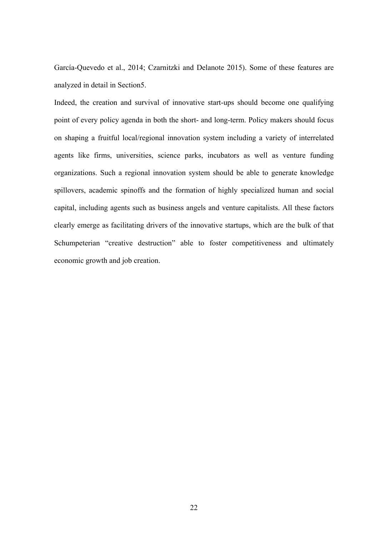García-Quevedo et al., 2014; Czarnitzki and Delanote 2015). Some of these features are analyzed in detail in Section5.

Indeed, the creation and survival of innovative start-ups should become one qualifying point of every policy agenda in both the short- and long-term. Policy makers should focus on shaping a fruitful local/regional innovation system including a variety of interrelated agents like firms, universities, science parks, incubators as well as venture funding organizations. Such a regional innovation system should be able to generate knowledge spillovers, academic spinoffs and the formation of highly specialized human and social capital, including agents such as business angels and venture capitalists. All these factors clearly emerge as facilitating drivers of the innovative startups, which are the bulk of that Schumpeterian "creative destruction" able to foster competitiveness and ultimately economic growth and job creation.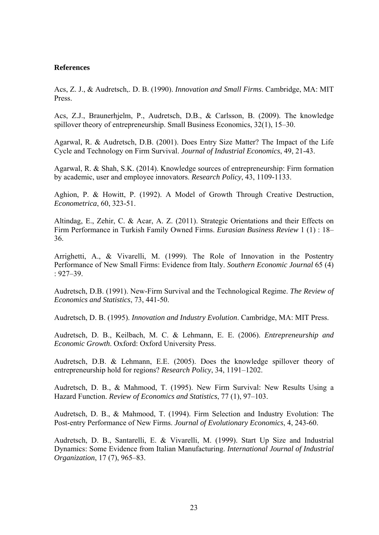#### **References**

Acs, Z. J., & Audretsch,. D. B. (1990). *Innovation and Small Firms*. Cambridge, MA: MIT Press.

Acs, Z.J., Braunerhjelm, P., Audretsch, D.B., & Carlsson, B. (2009). The knowledge spillover theory of entrepreneurship. Small Business Economics, 32(1), 15–30.

Agarwal, R. & Audretsch, D.B. (2001). Does Entry Size Matter? The Impact of the Life Cycle and Technology on Firm Survival. *Journal of Industrial Economics*, 49, 21-43.

Agarwal, R. & Shah, S.K. (2014). Knowledge sources of entrepreneurship: Firm formation by academic, user and employee innovators. *Research Policy*, 43, 1109-1133.

Aghion, P. & Howitt, P. (1992). A Model of Growth Through Creative Destruction, *Econometrica*, 60, 323-51.

Altindag, E., Zehir, C. & Acar, A. Z. (2011). Strategic Orientations and their Effects on Firm Performance in Turkish Family Owned Firms. *Eurasian Business Review* 1 (1) : 18– 36.

Arrighetti, A., & Vivarelli, M. (1999). The Role of Innovation in the Postentry Performance of New Small Firms: Evidence from Italy. *Southern Economic Journal* 65 (4) : 927–39.

Audretsch, D.B. (1991). New-Firm Survival and the Technological Regime. *The Review of Economics and Statistics*, 73, 441-50.

Audretsch, D. B. (1995). *Innovation and Industry Evolution*. Cambridge, MA: MIT Press.

Audretsch, D. B., Keilbach, M. C. & Lehmann, E. E. (2006). *Entrepreneurship and Economic Growth*. Oxford: Oxford University Press.

Audretsch, D.B. & Lehmann, E.E. (2005). Does the knowledge spillover theory of entrepreneurship hold for regions? *Research Policy*, 34, 1191–1202.

Audretsch, D. B., & Mahmood, T. (1995). New Firm Survival: New Results Using a Hazard Function. *Review of Economics and Statistics*, 77 (1), 97–103.

Audretsch, D. B., & Mahmood, T. (1994). Firm Selection and Industry Evolution: The Post-entry Performance of New Firms. *Journal of Evolutionary Economics*, 4, 243-60.

Audretsch, D. B., Santarelli, E. & Vivarelli, M. (1999). Start Up Size and Industrial Dynamics: Some Evidence from Italian Manufacturing. *International Journal of Industrial Organization*, 17 (7), 965–83.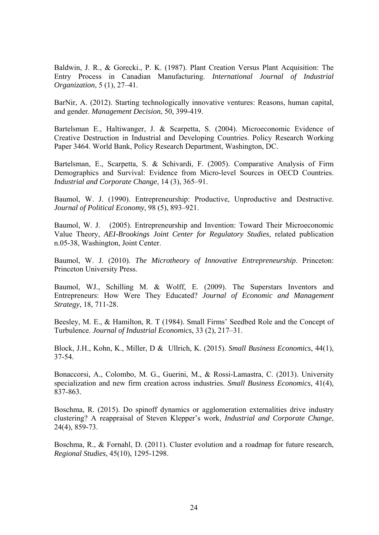Baldwin, J. R., & Gorecki., P. K. (1987). Plant Creation Versus Plant Acquisition: The Entry Process in Canadian Manufacturing. *International Journal of Industrial Organization*, 5 (1), 27–41.

BarNir, A. (2012). Starting technologically innovative ventures: Reasons, human capital, and gender. *Management Decision*, 50, 399-419.

Bartelsman E., Haltiwanger, J. & Scarpetta, S. (2004). Microeconomic Evidence of Creative Destruction in Industrial and Developing Countries. Policy Research Working Paper 3464. World Bank, Policy Research Department, Washington, DC.

Bartelsman, E., Scarpetta, S. & Schivardi, F. (2005). Comparative Analysis of Firm Demographics and Survival: Evidence from Micro-level Sources in OECD Countries. *Industrial and Corporate Change*, 14 (3), 365–91.

Baumol, W. J. (1990). Entrepreneurship: Productive, Unproductive and Destructive. *Journal of Political Economy*, 98 (5), 893–921.

Baumol, W. J. (2005). Entrepreneurship and Invention: Toward Their Microeconomic Value Theory, *AEI-Brookings Joint Center for Regulatory Studies*, related publication n.05-38, Washington, Joint Center.

Baumol, W. J. (2010). *The Microtheory of Innovative Entrepreneurship*. Princeton: Princeton University Press.

Baumol, WJ., Schilling M. & Wolff, E. (2009). The Superstars Inventors and Entrepreneurs: How Were They Educated? *Journal of Economic and Management Strategy*, 18, 711-28.

Beesley, M. E., & Hamilton, R. T (1984). Small Firms' Seedbed Role and the Concept of Turbulence. *Journal of Industrial Economics,* 33 (2), 217–31.

Block, J.H., Kohn, K., Miller, D & Ullrich, K. (2015). *Small Business Economics*, 44(1), 37-54.

Bonaccorsi, A., Colombo, M. G., Guerini, M., & Rossi-Lamastra, C. (2013). University specialization and new firm creation across industries. *Small Business Economics*, 41(4), 837-863.

Boschma, R. (2015). Do spinoff dynamics or agglomeration externalities drive industry clustering? A reappraisal of Steven Klepper's work, *Industrial and Corporate Change*, 24(4), 859-73.

Boschma, R., & Fornahl, D. (2011). Cluster evolution and a roadmap for future research, *Regional Studies*, 45(10), 1295-1298.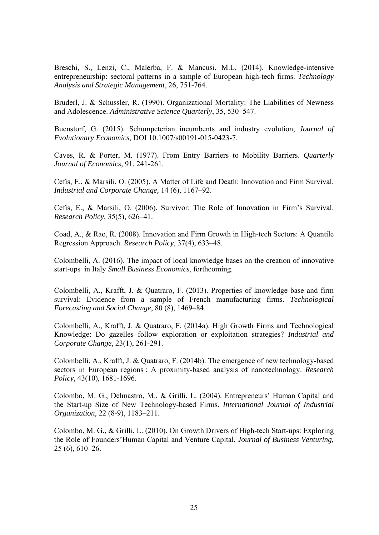Breschi, S., Lenzi, C., Malerba, F. & Mancusi, M.L. (2014). Knowledge-intensive entrepreneurship: sectoral patterns in a sample of European high-tech firms. *Technology Analysis and Strategic Management*, 26, 751-764.

Bruderl, J. & Schussler, R. (1990). Organizational Mortality: The Liabilities of Newness and Adolescence. *Administrative Science Quarterly*, 35, 530–547.

Buenstorf, G. (2015). Schumpeterian incumbents and industry evolution, *Journal of Evolutionary Economics*, DOI 10.1007/s00191-015-0423-7.

Caves, R. & Porter, M. (1977). From Entry Barriers to Mobility Barriers. *Quarterly Journal of Economics*, 91, 241-261.

Cefis, E., & Marsili, O. (2005). A Matter of Life and Death: Innovation and Firm Survival. *Industrial and Corporate Change,* 14 (6), 1167–92.

Cefis, E., & Marsili, O. (2006). Survivor: The Role of Innovation in Firm's Survival. *Research Policy*, 35(5), 626–41.

Coad, A., & Rao, R. (2008). Innovation and Firm Growth in High-tech Sectors: A Quantile Regression Approach. *Research Policy*, 37(4), 633–48.

Colombelli, A. (2016). The impact of local knowledge bases on the creation of innovative start-ups in Italy *Small Business Economics*, forthcoming.

Colombelli, A., Krafft, J. & Quatraro, F. (2013). Properties of knowledge base and firm survival: Evidence from a sample of French manufacturing firms. *Technological Forecasting and Social Change*, 80 (8), 1469–84.

Colombelli, A., Krafft, J. & Quatraro, F. (2014a). High Growth Firms and Technological Knowledge: Do gazelles follow exploration or exploitation strategies? *Industrial and Corporate Change*, 23(1), 261-291.

Colombelli, A., Krafft, J. & Quatraro, F. (2014b). The emergence of new technology-based sectors in European regions : A proximity-based analysis of nanotechnology. *Research Policy*, 43(10), 1681-1696.

Colombo, M. G., Delmastro, M., & Grilli, L. (2004). Entrepreneurs' Human Capital and the Start-up Size of New Technology-based Firms. *International Journal of Industrial Organization,* 22 (8-9), 1183–211.

Colombo, M. G., & Grilli, L. (2010). On Growth Drivers of High-tech Start-ups: Exploring the Role of Founders'Human Capital and Venture Capital. *Journal of Business Venturing,* 25 (6), 610–26.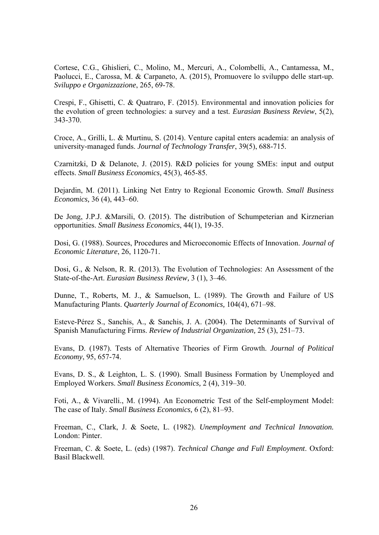Cortese, C.G., Ghislieri, C., Molino, M., Mercuri, A., Colombelli, A., Cantamessa, M., Paolucci, E., Carossa, M. & Carpaneto, A. (2015), Promuovere lo sviluppo delle start-up. *Sviluppo e Organizzazione*, 265, 69-78.

Crespi, F., Ghisetti, C. & Quatraro, F. (2015). Environmental and innovation policies for the evolution of green technologies: a survey and a test. *Eurasian Business Review*, 5(2), 343-370.

Croce, A., Grilli, L. & Murtinu, S. (2014). Venture capital enters academia: an analysis of university-managed funds. *Journal of Technology Transfer*, 39(5), 688-715.

Czarnitzki, D & Delanote, J. (2015). R&D policies for young SMEs: input and output effects. *Small Business Economics,* 45(3), 465-85.

Dejardin, M. (2011). Linking Net Entry to Regional Economic Growth. *Small Business Economics,* 36 (4), 443–60.

De Jong, J.P.J. &Marsili, O. (2015). The distribution of Schumpeterian and Kirznerian opportunities. *Small Business Economics*, 44(1), 19-35.

Dosi, G. (1988). Sources, Procedures and Microeconomic Effects of Innovation. *Journal of Economic Literature*, 26, 1120-71.

Dosi, G., & Nelson, R. R. (2013). The Evolution of Technologies: An Assessment of the State-of-the-Art. *Eurasian Business Review,* 3 (1), 3–46.

Dunne, T., Roberts, M. J., & Samuelson, L. (1989). The Growth and Failure of US Manufacturing Plants. *Quarterly Journal of Economics,* 104(4), 671–98.

Esteve-Pérez S., Sanchis, A., & Sanchis, J. A. (2004). The Determinants of Survival of Spanish Manufacturing Firms. *Review of Industrial Organization,* 25 (3), 251–73.

Evans, D. (1987). Tests of Alternative Theories of Firm Growth. *Journal of Political Economy*, 95, 657-74.

Evans, D. S., & Leighton, L. S. (1990). Small Business Formation by Unemployed and Employed Workers. *Small Business Economics,* 2 (4), 319–30.

Foti, A., & Vivarelli., M. (1994). An Econometric Test of the Self-employment Model: The case of Italy. *Small Business Economics,* 6 (2), 81–93.

Freeman, C., Clark, J. & Soete, L. (1982). *Unemployment and Technical Innovation.* London: Pinter.

Freeman, C. & Soete, L. (eds) (1987). *Technical Change and Full Employment*. Oxford: Basil Blackwell.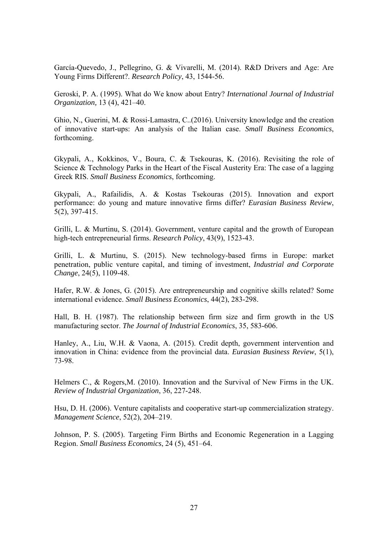García-Quevedo, J., Pellegrino, G. & Vivarelli, M. (2014). R&D Drivers and Age: Are Young Firms Different?. *Research Policy*, 43, 1544-56.

Geroski, P. A. (1995). What do We know about Entry? *International Journal of Industrial Organization,* 13 (4), 421–40.

Ghio, N., Guerini, M. & Rossi-Lamastra, C..(2016). University knowledge and the creation of innovative start-ups: An analysis of the Italian case. *Small Business Economics*, forthcoming.

Gkypali, A., Kokkinos, V., Boura, C. & Tsekouras, K. (2016). Revisiting the role of Science & Technology Parks in the Heart of the Fiscal Austerity Era: The case of a lagging Greek RIS. *Small Business Economics*, forthcoming.

Gkypali, A., Rafailidis, A. & Kostas Tsekouras (2015). Innovation and export performance: do young and mature innovative firms differ? *Eurasian Business Review*, 5(2), 397-415.

Grilli, L. & Murtinu, S. (2014). Government, venture capital and the growth of European high-tech entrepreneurial firms. *Research Policy*, 43(9), 1523-43.

Grilli, L. & Murtinu, S. (2015). New technology-based firms in Europe: market penetration, public venture capital, and timing of investment, *Industrial and Corporate Change*, 24(5), 1109-48.

Hafer, R.W. & Jones, G. (2015). Are entrepreneurship and cognitive skills related? Some international evidence. *Small Business Economics*, 44(2), 283-298.

Hall, B. H. (1987). The relationship between firm size and firm growth in the US manufacturing sector. *The Journal of Industrial Economics*, 35, 583-606.

Hanley, A., Liu, W.H. & Vaona, A. (2015). Credit depth, government intervention and innovation in China: evidence from the provincial data. *Eurasian Business Review*, 5(1), 73-98.

Helmers C., & Rogers,M. (2010). Innovation and the Survival of New Firms in the UK. *Review of Industrial Organization*, 36, 227-248.

Hsu, D. H. (2006). Venture capitalists and cooperative start-up commercialization strategy. *Management Science*, 52(2), 204–219.

Johnson, P. S. (2005). Targeting Firm Births and Economic Regeneration in a Lagging Region. *Small Business Economics*, 24 (5), 451–64.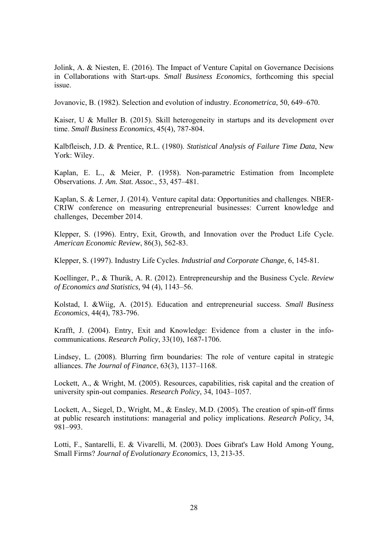Jolink, A. & Niesten, E. (2016). The Impact of Venture Capital on Governance Decisions in Collaborations with Start-ups. *Small Business Economics*, forthcoming this special issue.

Jovanovic, B. (1982). Selection and evolution of industry. *Econometrica*, 50, 649–670.

Kaiser, U & Muller B. (2015). Skill heterogeneity in startups and its development over time. *Small Business Economics*, 45(4), 787-804.

Kalbfleisch, J.D. & Prentice, R.L. (1980). *Statistical Analysis of Failure Time Data*, New York: Wiley.

Kaplan, E. L., & Meier, P. (1958). Non-parametric Estimation from Incomplete Observations. *J. Am. Stat. Assoc.*, 53, 457–481.

Kaplan, S. & Lerner, J. (2014). Venture capital data: Opportunities and challenges. NBER-CRIW conference on measuring entrepreneurial businesses: Current knowledge and challenges, December 2014.

Klepper, S. (1996). Entry, Exit, Growth, and Innovation over the Product Life Cycle. *American Economic Review*, 86(3), 562-83.

Klepper, S. (1997). Industry Life Cycles. *Industrial and Corporate Change*, 6, 145-81.

Koellinger, P., & Thurik, A. R. (2012). Entrepreneurship and the Business Cycle. *Review of Economics and Statistics,* 94 (4), 1143–56.

Kolstad, I. &Wiig, A. (2015). Education and entrepreneurial success. *Small Business Economics*, 44(4), 783-796.

Krafft, J. (2004). Entry, Exit and Knowledge: Evidence from a cluster in the infocommunications. *Research Policy*, 33(10), 1687-1706.

Lindsey, L. (2008). Blurring firm boundaries: The role of venture capital in strategic alliances. *The Journal of Finance*, 63(3), 1137–1168.

Lockett, A., & Wright, M. (2005). Resources, capabilities, risk capital and the creation of university spin-out companies. *Research Policy*, 34, 1043–1057.

Lockett, A., Siegel, D., Wright, M., & Ensley, M.D. (2005). The creation of spin-off firms at public research institutions: managerial and policy implications. *Research Policy*, 34, 981–993.

Lotti, F., Santarelli, E. & Vivarelli, M. (2003). Does Gibrat's Law Hold Among Young, Small Firms? *Journal of Evolutionary Economics*, 13, 213-35.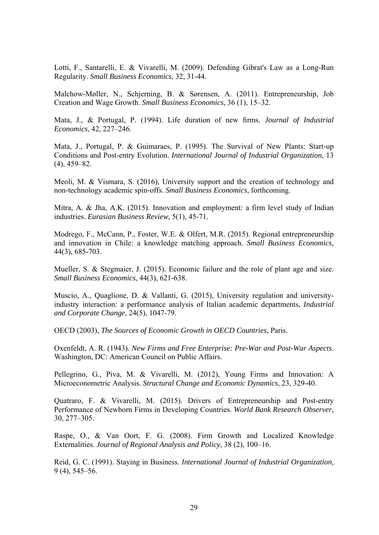Lotti, F., Santarelli, E. & Vivarelli, M. (2009). Defending Gibrat's Law as a Long-Run Regularity. *Small Business Economics*, 32, 31-44.

Malchow-Møller, N., Schjerning, B. & Sørensen, A. (2011). Entrepreneurship, Job Creation and Wage Growth. *Small Business Economics,* 36 (1), 15–32.

Mata, J., & Portugal, P. (1994). Life duration of new firms. *Journal of Industrial Economics*, 42, 227–246.

Mata, J., Portugal, P. & Guimaraes, P. (1995). The Survival of New Plants: Start-up Conditions and Post-entry Evolution. *International Journal of Industrial Organization*, 13 (4), 459–82.

Meoli, M. & Vismara, S. (2016), University support and the creation of technology and non-technology academic spin-offs. *Small Business Economics*, forthcoming.

Mitra, A. & Jha, A.K. (2015). Innovation and employment: a firm level study of Indian industries. *Eurasian Business Review,* 5(1), 45-71.

Modrego, F., McCann, P., Foster, W.E. & Olfert, M.R. (2015). Regional entrepreneurship and innovation in Chile: a knowledge matching approach. *Small Business Economics*, 44(3), 685-703.

Mueller, S. & Stegmaier, J. (2015). Economic failure and the role of plant age and size. *Small Business Economics*, 44(3), 621-638.

Muscio, A., Quaglione, D. & Vallanti, G. (2015), University regulation and universityindustry interaction: a performance analysis of Italian academic departments, *Industrial and Corporate Change*, 24(5), 1047-79.

OECD (2003), *The Sources of Economic Growth in OECD Countries*, Paris.

Oxenfeldt, A. R. (1943). *New Firms and Free Enterprise: Pre-War and Post-War Aspects*. Washington, DC: American Council on Public Affairs.

Pellegrino, G., Piva, M. & Vivarelli, M. (2012), Young Firms and Innovation: A Microeconometric Analysis. *Structural Change and Economic Dynamics*, 23, 329-40.

Quatraro, F. & Vivarelli, M. (2015). Drivers of Entrepreneurship and Post-entry Performance of Newborn Firms in Developing Countries. *World Bank Research Observer*, 30, 277–305.

Raspe, O., & Van Oort, F. G. (2008). Firm Growth and Localized Knowledge Externalities. *Journal of Regional Analysis and Policy*, 38 (2), 100–16.

Reid, G. C. (1991). Staying in Business. *International Journal of Industrial Organization,* 9 (4), 545–56.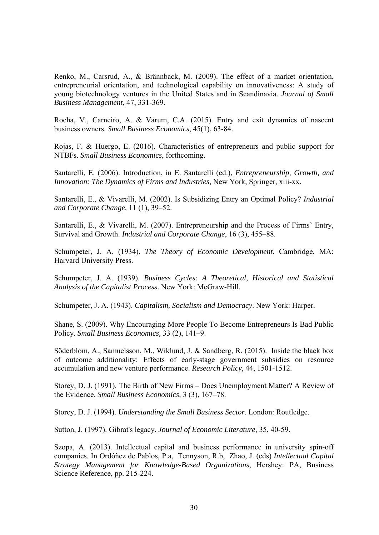Renko, M., Carsrud, A., & Brännback, M. (2009). The effect of a market orientation, entrepreneurial orientation, and technological capability on innovativeness: A study of young biotechnology ventures in the United States and in Scandinavia. *Journal of Small Business Management*, 47, 331-369.

Rocha, V., Carneiro, A. & Varum, C.A. (2015). Entry and exit dynamics of nascent business owners. *Small Business Economics*, 45(1), 63-84.

Rojas, F. & Huergo, E. (2016). Characteristics of entrepreneurs and public support for NTBFs. *Small Business Economics*, forthcoming.

Santarelli, E. (2006). Introduction, in E. Santarelli (ed.), *Entrepreneurship, Growth, and Innovation: The Dynamics of Firms and Industries*, New York, Springer, xiii-xx.

Santarelli, E., & Vivarelli, M. (2002). Is Subsidizing Entry an Optimal Policy? *Industrial and Corporate Change,* 11 (1), 39–52.

Santarelli, E., & Vivarelli, M. (2007). Entrepreneurship and the Process of Firms' Entry, Survival and Growth. *Industrial and Corporate Change*, 16 (3), 455–88.

Schumpeter, J. A. (1934). *The Theory of Economic Development*. Cambridge, MA: Harvard University Press.

Schumpeter, J. A. (1939). *Business Cycles: A Theoretical, Historical and Statistical Analysis of the Capitalist Process*. New York: McGraw-Hill.

Schumpeter, J. A. (1943). *Capitalism, Socialism and Democracy*. New York: Harper.

Shane, S. (2009). Why Encouraging More People To Become Entrepreneurs Is Bad Public Policy. *Small Business Economics,* 33 (2), 141–9.

Söderblom, A., Samuelsson, M., Wiklund, J. & Sandberg, R. (2015). Inside the black box of outcome additionality: Effects of early-stage government subsidies on resource accumulation and new venture performance. *Research Policy*, 44, 1501-1512.

Storey, D. J. (1991). The Birth of New Firms – Does Unemployment Matter? A Review of the Evidence. *Small Business Economics,* 3 (3), 167–78.

Storey, D. J. (1994). *Understanding the Small Business Sector*. London: Routledge.

Sutton, J. (1997). Gibrat's legacy. *Journal of Economic Literature*, 35, 40-59.

Szopa, A. (2013). Intellectual capital and business performance in university spin-off companies. In Ordóñez de Pablos, P.a, Tennyson, R.b, Zhao, J. (eds) *Intellectual Capital Strategy Management for Knowledge-Based Organizations*, Hershey: PA, Business Science Reference, pp. 215-224.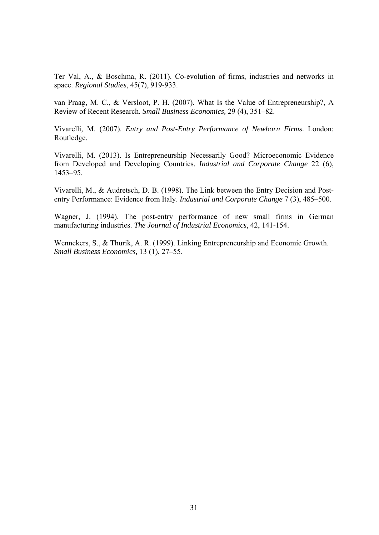Ter Val, A., & Boschma, R. (2011). Co-evolution of firms, industries and networks in space. *Regional Studies*, 45(7), 919-933.

van Praag, M. C., & Versloot, P. H. (2007). What Is the Value of Entrepreneurship?, A Review of Recent Research. *Small Business Economics,* 29 (4), 351–82.

Vivarelli, M. (2007). *Entry and Post-Entry Performance of Newborn Firms*. London: Routledge.

Vivarelli, M. (2013). Is Entrepreneurship Necessarily Good? Microeconomic Evidence from Developed and Developing Countries. *Industrial and Corporate Change* 22 (6), 1453–95.

Vivarelli, M., & Audretsch, D. B. (1998). The Link between the Entry Decision and Postentry Performance: Evidence from Italy. *Industrial and Corporate Change* 7 (3), 485–500.

Wagner, J. (1994). The post-entry performance of new small firms in German manufacturing industries. *The Journal of Industrial Economics*, 42, 141-154.

Wennekers, S., & Thurik, A. R. (1999). Linking Entrepreneurship and Economic Growth. *Small Business Economics,* 13 (1), 27–55.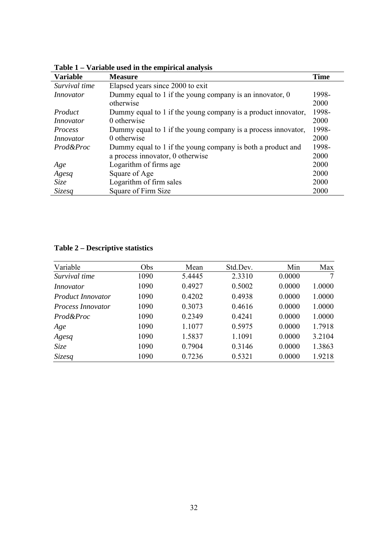| <b>Variable</b> | <b>Measure</b>                                                | <b>Time</b> |
|-----------------|---------------------------------------------------------------|-------------|
| Survival time   | Elapsed years since 2000 to exit                              |             |
| Innovator       | Dummy equal to 1 if the young company is an innovator, $0$    | 1998-       |
|                 | otherwise                                                     | 2000        |
| Product         | Dummy equal to 1 if the young company is a product innovator, | 1998-       |
| Innovator       | 0 otherwise                                                   | 2000        |
| <i>Process</i>  | Dummy equal to 1 if the young company is a process innovator, | 1998-       |
| Innovator       | 0 otherwise                                                   | 2000        |
| Prod&Proc       | Dummy equal to 1 if the young company is both a product and   | 1998-       |
|                 | a process innovator, 0 otherwise                              | 2000        |
| Age             | Logarithm of firms age                                        | 2000        |
| Agesq           | Square of Age                                                 | 2000        |
| <i>Size</i>     | Logarithm of firm sales                                       | 2000        |
| <b>Sizesq</b>   | Square of Firm Size                                           | 2000        |

**Table 1 – Variable used in the empirical analysis** 

# **Table 2 – Descriptive statistics**

| Variable                 | Obs  | Mean   | Std.Dev. | Min    | Max    |
|--------------------------|------|--------|----------|--------|--------|
| Survival time            | 1090 | 5.4445 | 2.3310   | 0.0000 | 7      |
| Innovator                | 1090 | 0.4927 | 0.5002   | 0.0000 | 1.0000 |
| <i>Product Innovator</i> | 1090 | 0.4202 | 0.4938   | 0.0000 | 1.0000 |
| <i>Process Innovator</i> | 1090 | 0.3073 | 0.4616   | 0.0000 | 1.0000 |
| Prod&Proc                | 1090 | 0.2349 | 0.4241   | 0.0000 | 1.0000 |
| Age                      | 1090 | 1.1077 | 0.5975   | 0.0000 | 1.7918 |
| Agesq                    | 1090 | 1.5837 | 1.1091   | 0.0000 | 3.2104 |
| Size                     | 1090 | 0.7904 | 0.3146   | 0.0000 | 1.3863 |
| Sizesq                   | 1090 | 0.7236 | 0.5321   | 0.0000 | 1.9218 |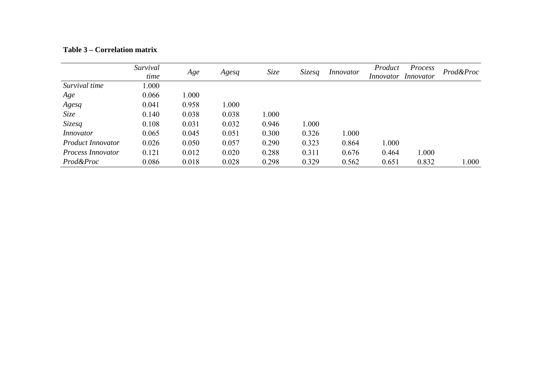|                          | Survival<br>time | Age   | Agesq | Size  | <i>Sizesq</i> | <i>Innovator</i> | Product<br><i>Innovator</i> | Process<br>Innovator | Prod&Proc |
|--------------------------|------------------|-------|-------|-------|---------------|------------------|-----------------------------|----------------------|-----------|
| Survival time            | 1.000            |       |       |       |               |                  |                             |                      |           |
| Age                      | 0.066            | 1.000 |       |       |               |                  |                             |                      |           |
| Agesq                    | 0.041            | 0.958 | 1.000 |       |               |                  |                             |                      |           |
| Size                     | 0.140            | 0.038 | 0.038 | 1.000 |               |                  |                             |                      |           |
| Sizesq                   | 0.108            | 0.031 | 0.032 | 0.946 | 1.000         |                  |                             |                      |           |
| Innovator                | 0.065            | 0.045 | 0.051 | 0.300 | 0.326         | 1.000            |                             |                      |           |
| <i>Product Innovator</i> | 0.026            | 0.050 | 0.057 | 0.290 | 0.323         | 0.864            | 1.000                       |                      |           |
| <i>Process Innovator</i> | 0.121            | 0.012 | 0.020 | 0.288 | 0.311         | 0.676            | 0.464                       | 1.000                |           |
| Prod&Proc                | 0.086            | 0.018 | 0.028 | 0.298 | 0.329         | 0.562            | 0.651                       | 0.832                | 000.1     |

#### **Table 3 – Correlation matrix**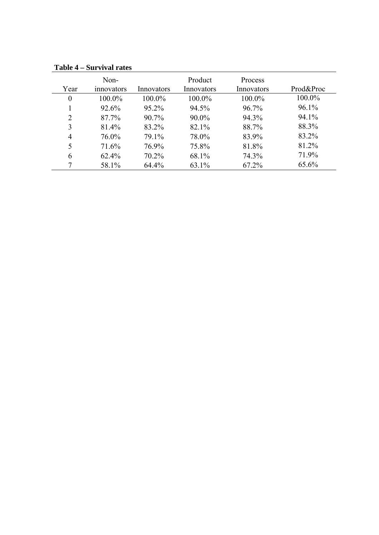| Year           | Non-<br>innovators | Innovators | Product<br>Innovators | Process<br>Innovators | Prod&Proc |
|----------------|--------------------|------------|-----------------------|-----------------------|-----------|
| $\overline{0}$ | 100.0%             | 100.0%     | 100.0%                | 100.0%                | 100.0%    |
|                | 92.6%              | 95.2%      | 94.5%                 | 96.7%                 | 96.1%     |
| 2              | 87.7%              | 90.7%      | 90.0%                 | 94.3%                 | 94.1%     |
| 3              | 81.4%              | 83.2%      | 82.1%                 | 88.7%                 | 88.3%     |
| $\overline{4}$ | 76.0%              | 79.1%      | 78.0%                 | 83.9%                 | 83.2%     |
| 5              | 71.6%              | 76.9%      | 75.8%                 | 81.8%                 | 81.2%     |
| 6              | 62.4%              | 70.2%      | 68.1%                 | 74.3%                 | 71.9%     |
| 7              | 58.1%              | 64.4%      | 63.1%                 | 67.2%                 | 65.6%     |

**Table 4 – Survival rates**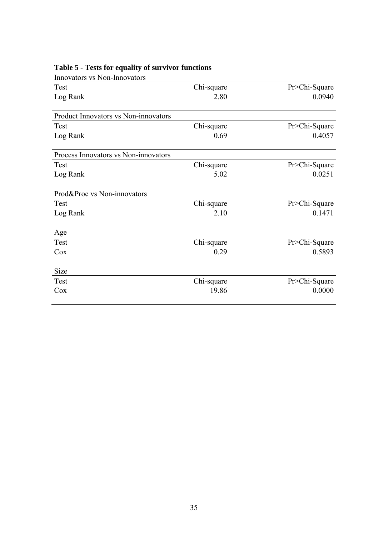| Innovators vs Non-Innovators         |            |               |
|--------------------------------------|------------|---------------|
| Test                                 | Chi-square | Pr>Chi-Square |
| Log Rank                             | 2.80       | 0.0940        |
|                                      |            |               |
| Product Innovators vs Non-innovators |            |               |
| Test                                 | Chi-square | Pr>Chi-Square |
| Log Rank                             | 0.69       | 0.4057        |
| Process Innovators vs Non-innovators |            |               |
| Test                                 | Chi-square | Pr>Chi-Square |
| Log Rank                             | 5.02       | 0.0251        |
| Prod&Proc vs Non-innovators          |            |               |
| Test                                 | Chi-square | Pr>Chi-Square |
| Log Rank                             | 2.10       | 0.1471        |
| Age                                  |            |               |
| Test                                 | Chi-square | Pr>Chi-Square |
| Cox                                  | 0.29       | 0.5893        |
| Size                                 |            |               |
| Test                                 | Chi-square | Pr>Chi-Square |
| Cox                                  | 19.86      | 0.0000        |
|                                      |            |               |

# **Table 5 - Tests for equality of survivor functions**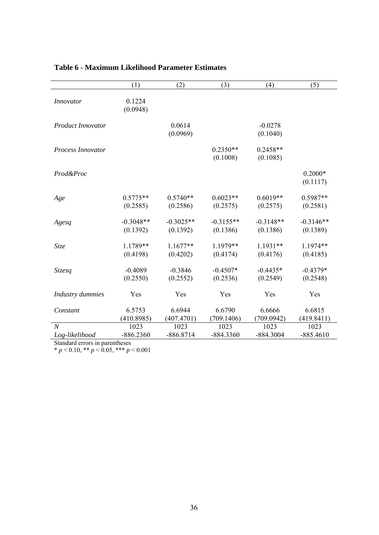|                          | (1)                | (2)                | (3)                    | (4)                    | (5)                   |
|--------------------------|--------------------|--------------------|------------------------|------------------------|-----------------------|
| <b>Innovator</b>         | 0.1224<br>(0.0948) |                    |                        |                        |                       |
| <b>Product Innovator</b> |                    | 0.0614<br>(0.0969) |                        | $-0.0278$<br>(0.1040)  |                       |
| Process Innovator        |                    |                    | $0.2350**$<br>(0.1008) | $0.2458**$<br>(0.1085) |                       |
| Prod&Proc                |                    |                    |                        |                        | $0.2000*$<br>(0.1117) |
| Age                      | $0.5775**$         | $0.5740**$         | $0.6023**$             | $0.6019**$             | $0.5987**$            |
|                          | (0.2585)           | (0.2586)           | (0.2575)               | (0.2575)               | (0.2581)              |
| Agesq                    | $-0.3048**$        | $-0.3025**$        | $-0.3155**$            | $-0.3148**$            | $-0.3146**$           |
|                          | (0.1392)           | (0.1392)           | (0.1386)               | (0.1386)               | (0.1389)              |
| Size                     | 1.1789**           | $1.1677**$         | 1.1979**               | $1.1931**$             | 1.1974**              |
|                          | (0.4198)           | (0.4202)           | (0.4174)               | (0.4176)               | (0.4185)              |
| Sizesq                   | $-0.4089$          | $-0.3846$          | $-0.4507*$             | $-0.4435*$             | $-0.4379*$            |
|                          | (0.2550)           | (0.2552)           | (0.2536)               | (0.2549)               | (0.2548)              |
| Industry dummies         | Yes                | Yes                | Yes                    | Yes                    | Yes                   |
| Constant                 | 6.5753             | 6.6944             | 6.6790                 | 6.6666                 | 6.6815                |
|                          | (410.8985)         | (407.4701)         | (709.1406)             | (709.0942)             | (419.8411)            |
| $\boldsymbol{N}$         | 1023               | 1023               | 1023                   | 1023                   | 1023                  |
| Log-likelihood           | $-886.2360$        | $-886.8714$        | $-884.3360$            | $-884.3004$            | $-885.4610$           |

### **Table 6 - Maximum Likelihood Parameter Estimates**

Standard errors in parentheses

\* *p* < 0.10, \*\* *p* < 0.05, \*\*\* *p* < 0.001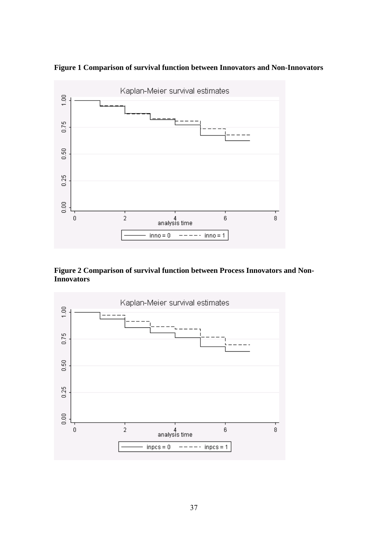

**Figure 1 Comparison of survival function between Innovators and Non-Innovators** 

**Figure 2 Comparison of survival function between Process Innovators and Non-Innovators** 

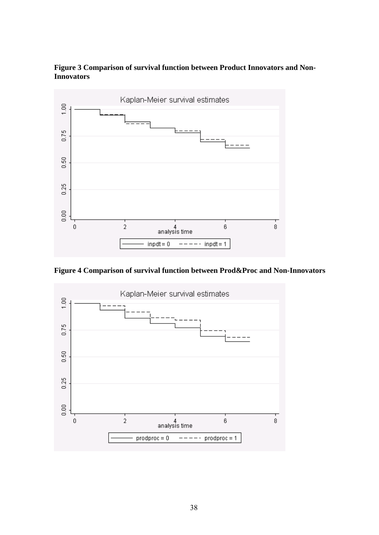



**Figure 4 Comparison of survival function between Prod&Proc and Non-Innovators**